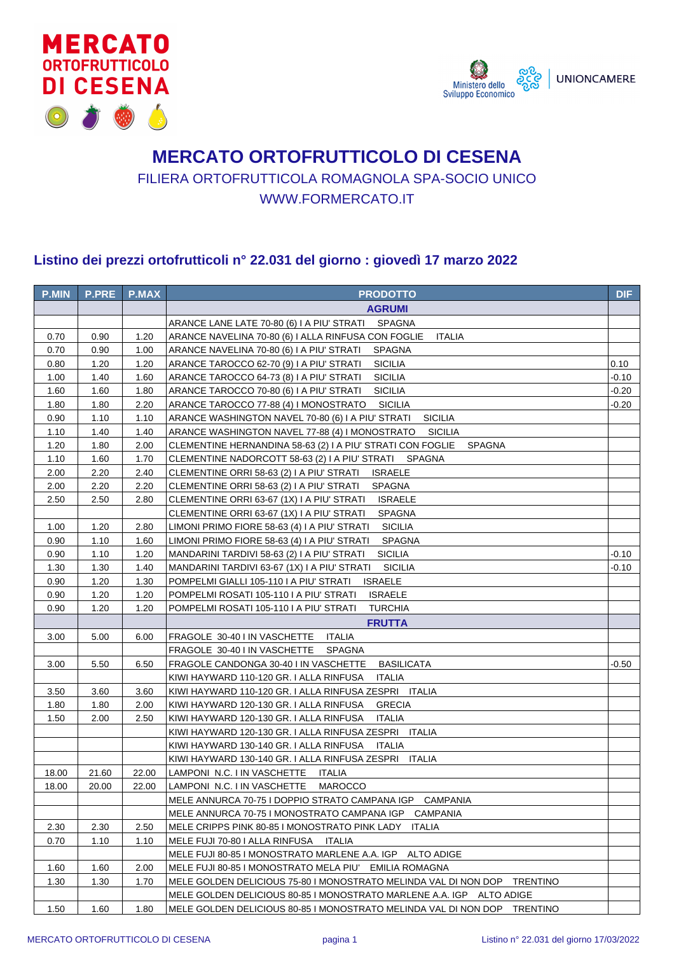



## **MERCATO ORTOFRUTTICOLO DI CESENA** FILIERA ORTOFRUTTICOLA ROMAGNOLA SPA-SOCIO UNICO WWW.FORMERCATO.IT

## **Listino dei prezzi ortofrutticoli n° 22.031 del giorno : giovedì 17 marzo 2022**

| <b>P.MIN</b> | <b>P.PRE</b> | <b>P.MAX</b> | <b>PRODOTTO</b>                                                             | <b>DIF</b> |
|--------------|--------------|--------------|-----------------------------------------------------------------------------|------------|
|              |              |              | <b>AGRUMI</b>                                                               |            |
|              |              |              | ARANCE LANE LATE 70-80 (6) I A PIU' STRATI SPAGNA                           |            |
| 0.70         | 0.90         | 1.20         | ARANCE NAVELINA 70-80 (6) I ALLA RINFUSA CON FOGLIE<br><b>ITALIA</b>        |            |
| 0.70         | 0.90         | 1.00         | ARANCE NAVELINA 70-80 (6) I A PIU' STRATI<br><b>SPAGNA</b>                  |            |
| 0.80         | 1.20         | 1.20         | <b>SICILIA</b><br>ARANCE TAROCCO 62-70 (9) I A PIU' STRATI                  | 0.10       |
| 1.00         | 1.40         | 1.60         | <b>SICILIA</b><br>ARANCE TAROCCO 64-73 (8) I A PIU' STRATI                  | $-0.10$    |
| 1.60         | 1.60         | 1.80         | ARANCE TAROCCO 70-80 (6) I A PIU' STRATI<br><b>SICILIA</b>                  | $-0.20$    |
| 1.80         | 1.80         | 2.20         | ARANCE TAROCCO 77-88 (4) I MONOSTRATO<br><b>SICILIA</b>                     | $-0.20$    |
| 0.90         | 1.10         | 1.10         | <b>SICILIA</b><br>ARANCE WASHINGTON NAVEL 70-80 (6) I A PIU' STRATI         |            |
| 1.10         | 1.40         | 1.40         | ARANCE WASHINGTON NAVEL 77-88 (4) I MONOSTRATO<br><b>SICILIA</b>            |            |
| 1.20         | 1.80         | 2.00         | CLEMENTINE HERNANDINA 58-63 (2) I A PIU' STRATI CON FOGLIE<br><b>SPAGNA</b> |            |
| 1.10         | 1.60         | 1.70         | CLEMENTINE NADORCOTT 58-63 (2) I A PIU' STRATI SPAGNA                       |            |
| 2.00         | 2.20         | 2.40         | <b>ISRAELE</b><br>CLEMENTINE ORRI 58-63 (2) I A PIU' STRATI                 |            |
| 2.00         | 2.20         | 2.20         | CLEMENTINE ORRI 58-63 (2) I A PIU' STRATI<br><b>SPAGNA</b>                  |            |
| 2.50         | 2.50         | 2.80         | CLEMENTINE ORRI 63-67 (1X) I A PIU' STRATI<br><b>ISRAELE</b>                |            |
|              |              |              | CLEMENTINE ORRI 63-67 (1X) I A PIU' STRATI<br><b>SPAGNA</b>                 |            |
| 1.00         | 1.20         | 2.80         | LIMONI PRIMO FIORE 58-63 (4) I A PIU' STRATI<br><b>SICILIA</b>              |            |
| 0.90         | 1.10         | 1.60         | LIMONI PRIMO FIORE 58-63 (4) I A PIU' STRATI<br><b>SPAGNA</b>               |            |
| 0.90         | 1.10         | 1.20         | <b>SICILIA</b><br>MANDARINI TARDIVI 58-63 (2) I A PIU' STRATI               | $-0.10$    |
| 1.30         | 1.30         | 1.40         | <b>SICILIA</b><br>MANDARINI TARDIVI 63-67 (1X) I A PIU' STRATI              | $-0.10$    |
| 0.90         | 1.20         | 1.30         | POMPELMI GIALLI 105-110 I A PIU' STRATI<br><b>ISRAELE</b>                   |            |
| 0.90         | 1.20         | 1.20         | POMPELMI ROSATI 105-110 I A PIU' STRATI<br><b>ISRAELE</b>                   |            |
| 0.90         | 1.20         | 1.20         | POMPELMI ROSATI 105-110 I A PIU' STRATI<br><b>TURCHIA</b>                   |            |
|              |              |              | <b>FRUTTA</b>                                                               |            |
| 3.00         | 5.00         | 6.00         | FRAGOLE 30-40 I IN VASCHETTE<br><b>ITALIA</b>                               |            |
|              |              |              | FRAGOLE 30-40 I IN VASCHETTE<br><b>SPAGNA</b>                               |            |
| 3.00         | 5.50         | 6.50         | <b>BASILICATA</b><br>FRAGOLE CANDONGA 30-40 I IN VASCHETTE                  | -0.50      |
|              |              |              | KIWI HAYWARD 110-120 GR. I ALLA RINFUSA<br><b>ITALIA</b>                    |            |
| 3.50         | 3.60         | 3.60         | KIWI HAYWARD 110-120 GR. I ALLA RINFUSA ZESPRI ITALIA                       |            |
| 1.80         | 1.80         | 2.00         | KIWI HAYWARD 120-130 GR. I ALLA RINFUSA<br><b>GRECIA</b>                    |            |
| 1.50         | 2.00         | 2.50         | KIWI HAYWARD 120-130 GR. I ALLA RINFUSA<br><b>ITALIA</b>                    |            |
|              |              |              | KIWI HAYWARD 120-130 GR. I ALLA RINFUSA ZESPRI ITALIA                       |            |
|              |              |              | KIWI HAYWARD 130-140 GR. I ALLA RINFUSA<br>ITALIA                           |            |
|              |              |              | KIWI HAYWARD 130-140 GR. I ALLA RINFUSA ZESPRI<br><b>ITALIA</b>             |            |
| 18.00        | 21.60        | 22.00        | LAMPONI N.C. I IN VASCHETTE<br>ITALIA                                       |            |
| 18.00        | 20.00        | 22.00        | LAMPONI N.C. I IN VASCHETTE MAROCCO                                         |            |
|              |              |              | MELE ANNURCA 70-75 I DOPPIO STRATO CAMPANA IGP CAMPANIA                     |            |
|              |              |              | MELE ANNURCA 70-75 I MONOSTRATO CAMPANA IGP CAMPANIA                        |            |
| 2.30         | 2.30         | 2.50         | MELE CRIPPS PINK 80-85 I MONOSTRATO PINK LADY ITALIA                        |            |
| 0.70         | 1.10         | 1.10         | MELE FUJI 70-80 I ALLA RINFUSA<br>ITALIA                                    |            |
|              |              |              | MELE FUJI 80-85 I MONOSTRATO MARLENE A.A. IGP ALTO ADIGE                    |            |
| 1.60         | 1.60         | 2.00         | MELE FUJI 80-85 I MONOSTRATO MELA PIU' EMILIA ROMAGNA                       |            |
| 1.30         | 1.30         | 1.70         | MELE GOLDEN DELICIOUS 75-80 I MONOSTRATO MELINDA VAL DI NON DOP TRENTINO    |            |
|              |              |              | MELE GOLDEN DELICIOUS 80-85 I MONOSTRATO MARLENE A.A. IGP ALTO ADIGE        |            |
| 1.50         | 1.60         | 1.80         | MELE GOLDEN DELICIOUS 80-85 I MONOSTRATO MELINDA VAL DI NON DOP TRENTINO    |            |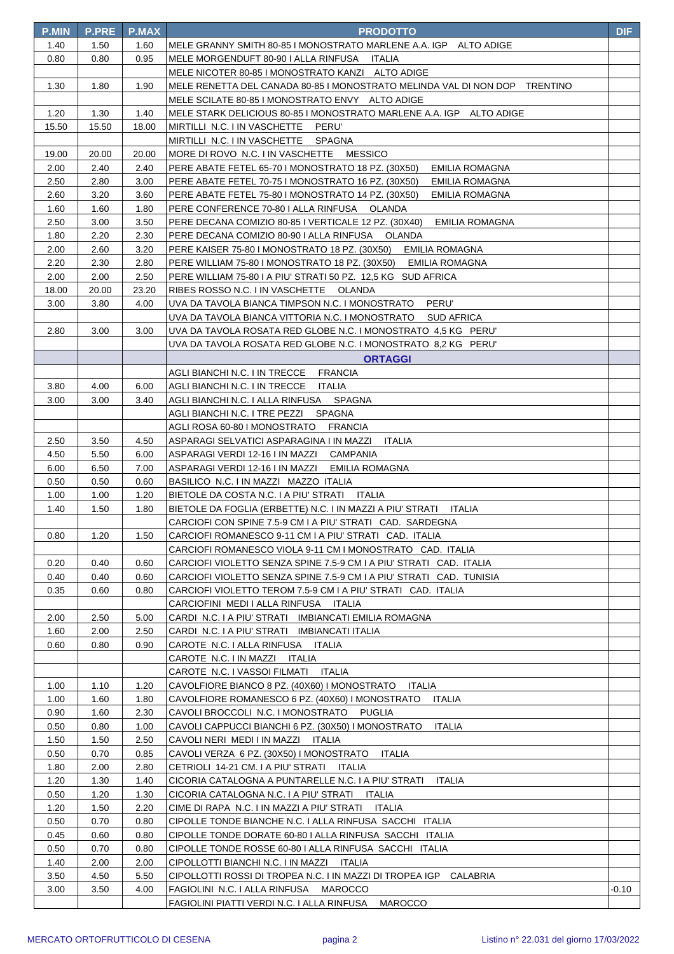| <b>P.MIN</b> | <b>P.PRE</b> | <b>P.MAX</b> | <b>PRODOTTO</b>                                                                                                                 | DIF   |
|--------------|--------------|--------------|---------------------------------------------------------------------------------------------------------------------------------|-------|
| 1.40         | 1.50         | 1.60         | MELE GRANNY SMITH 80-85 I MONOSTRATO MARLENE A.A. IGP ALTO ADIGE                                                                |       |
| 0.80         | 0.80         | 0.95         | MELE MORGENDUFT 80-90   ALLA RINFUSA ITALIA                                                                                     |       |
|              |              |              | MELE NICOTER 80-85 I MONOSTRATO KANZI ALTO ADIGE                                                                                |       |
| 1.30         | 1.80         | 1.90         | MELE RENETTA DEL CANADA 80-85 I MONOSTRATO MELINDA VAL DI NON DOP TRENTINO                                                      |       |
|              |              |              | MELE SCILATE 80-85 I MONOSTRATO ENVY ALTO ADIGE                                                                                 |       |
| 1.20         | 1.30         | 1.40         | MELE STARK DELICIOUS 80-85 I MONOSTRATO MARLENE A.A. IGP ALTO ADIGE                                                             |       |
| 15.50        | 15.50        | 18.00        | MIRTILLI N.C. I IN VASCHETTE PERU'                                                                                              |       |
|              |              |              | MIRTILLI N.C. I IN VASCHETTE SPAGNA                                                                                             |       |
| 19.00        | 20.00        | 20.00        | MORE DI ROVO N.C. I IN VASCHETTE MESSICO                                                                                        |       |
| 2.00         | 2.40         | 2.40         | PERE ABATE FETEL 65-70 I MONOSTRATO 18 PZ. (30X50)<br><b>EMILIA ROMAGNA</b>                                                     |       |
| 2.50         | 2.80         | 3.00         | PERE ABATE FETEL 70-75 I MONOSTRATO 16 PZ. (30X50)<br><b>EMILIA ROMAGNA</b>                                                     |       |
| 2.60         | 3.20         | 3.60         | PERE ABATE FETEL 75-80 I MONOSTRATO 14 PZ. (30X50)<br>EMILIA ROMAGNA                                                            |       |
| 1.60         | 1.60         | 1.80         | PERE CONFERENCE 70-80   ALLA RINFUSA OLANDA                                                                                     |       |
| 2.50         | 3.00         | 3.50         | PERE DECANA COMIZIO 80-85 I VERTICALE 12 PZ. (30X40)<br><b>EMILIA ROMAGNA</b>                                                   |       |
| 1.80         | 2.20         | 2.30         | PERE DECANA COMIZIO 80-90 I ALLA RINFUSA OLANDA                                                                                 |       |
| 2.00         | 2.60         | 3.20         | PERE KAISER 75-80 I MONOSTRATO 18 PZ. (30X50)<br>EMILIA ROMAGNA                                                                 |       |
| 2.20         | 2.30         | 2.80         | PERE WILLIAM 75-80 I MONOSTRATO 18 PZ. (30X50) EMILIA ROMAGNA                                                                   |       |
| 2.00         | 2.00         | 2.50         | PERE WILLIAM 75-80 I A PIU' STRATI 50 PZ. 12,5 KG SUD AFRICA                                                                    |       |
| 18.00        | 20.00        | 23.20        | RIBES ROSSO N.C. I IN VASCHETTE OLANDA                                                                                          |       |
| 3.00         | 3.80         | 4.00         | UVA DA TAVOLA BIANCA TIMPSON N.C. I MONOSTRATO<br>PERU'                                                                         |       |
|              |              |              | UVA DA TAVOLA BIANCA VITTORIA N.C. I MONOSTRATO<br><b>SUD AFRICA</b>                                                            |       |
| 2.80         | 3.00         | 3.00         | UVA DA TAVOLA ROSATA RED GLOBE N.C. I MONOSTRATO 4,5 KG PERU'                                                                   |       |
|              |              |              | UVA DA TAVOLA ROSATA RED GLOBE N.C. I MONOSTRATO 8,2 KG PERU'                                                                   |       |
|              |              |              | <b>ORTAGGI</b>                                                                                                                  |       |
|              |              |              | AGLI BIANCHI N.C. I IN TRECCE FRANCIA                                                                                           |       |
| 3.80         | 4.00         | 6.00         | AGLI BIANCHI N.C. I IN TRECCE ITALIA                                                                                            |       |
| 3.00         | 3.00         | 3.40         | AGLI BIANCHI N.C. I ALLA RINFUSA SPAGNA                                                                                         |       |
|              |              |              | SPAGNA<br>AGLI BIANCHI N.C. I TRE PEZZI                                                                                         |       |
|              |              |              | AGLI ROSA 60-80 I MONOSTRATO FRANCIA                                                                                            |       |
| 2.50         | 3.50         | 4.50         | ASPARAGI SELVATICI ASPARAGINA I IN MAZZI<br>ITALIA                                                                              |       |
| 4.50         | 5.50         | 6.00         | ASPARAGI VERDI 12-16 I IN MAZZI CAMPANIA                                                                                        |       |
| 6.00         | 6.50         | 7.00         | ASPARAGI VERDI 12-16 I IN MAZZI EMILIA ROMAGNA                                                                                  |       |
| 0.50         | 0.50         | 0.60         | BASILICO N.C. I IN MAZZI MAZZO ITALIA                                                                                           |       |
| 1.00         | 1.00         | 1.20         | BIETOLE DA COSTA N.C. I A PIU' STRATI ITALIA                                                                                    |       |
| 1.40         | 1.50         | 1.80         | BIETOLE DA FOGLIA (ERBETTE) N.C. I IN MAZZI A PIU' STRATI<br>ITALIA                                                             |       |
|              |              |              | CARCIOFI CON SPINE 7.5-9 CM I A PIU' STRATI CAD. SARDEGNA                                                                       |       |
| 0.80         | 1.20         | 1.50         | CARCIOFI ROMANESCO 9-11 CM I A PIU' STRATI CAD. ITALIA                                                                          |       |
| 0.20         | 0.40         | 0.60         | CARCIOFI ROMANESCO VIOLA 9-11 CM I MONOSTRATO CAD. ITALIA<br>CARCIOFI VIOLETTO SENZA SPINE 7.5-9 CM I A PIU' STRATI CAD. ITALIA |       |
| 0.40         | 0.40         | 0.60         | CARCIOFI VIOLETTO SENZA SPINE 7.5-9 CM I A PIU' STRATI CAD. TUNISIA                                                             |       |
| 0.35         | 0.60         | 0.80         | CARCIOFI VIOLETTO TEROM 7.5-9 CM I A PIU' STRATI CAD. ITALIA                                                                    |       |
|              |              |              | CARCIOFINI MEDI I ALLA RINFUSA ITALIA                                                                                           |       |
| 2.00         | 2.50         | 5.00         | CARDI N.C. I A PIU' STRATI IMBIANCATI EMILIA ROMAGNA                                                                            |       |
| 1.60         | 2.00         | 2.50         | CARDI N.C. I A PIU' STRATI IMBIANCATI ITALIA                                                                                    |       |
| 0.60         | 0.80         | 0.90         | CAROTE N.C. I ALLA RINFUSA<br>ITALIA                                                                                            |       |
|              |              |              | CAROTE N.C. I IN MAZZI ITALIA                                                                                                   |       |
|              |              |              | CAROTE N.C. I VASSOI FILMATI ITALIA                                                                                             |       |
| 1.00         | 1.10         | 1.20         | CAVOLFIORE BIANCO 8 PZ. (40X60) I MONOSTRATO<br>ITALIA                                                                          |       |
| 1.00         | 1.60         | 1.80         | CAVOLFIORE ROMANESCO 6 PZ. (40X60) I MONOSTRATO<br><b>ITALIA</b>                                                                |       |
| 0.90         | 1.60         | 2.30         | CAVOLI BROCCOLI N.C. I MONOSTRATO PUGLIA                                                                                        |       |
| 0.50         | 0.80         | 1.00         | CAVOLI CAPPUCCI BIANCHI 6 PZ. (30X50) I MONOSTRATO<br><b>ITALIA</b>                                                             |       |
| 1.50         | 1.50         | 2.50         | CAVOLI NERI MEDI I IN MAZZI ITALIA                                                                                              |       |
| 0.50         | 0.70         | 0.85         | CAVOLI VERZA 6 PZ. (30X50) I MONOSTRATO<br>ITALIA                                                                               |       |
| 1.80         | 2.00         | 2.80         | CETRIOLI 14-21 CM. I A PIU' STRATI ITALIA                                                                                       |       |
| 1.20         | 1.30         | 1.40         | CICORIA CATALOGNA A PUNTARELLE N.C. I A PIU' STRATI<br>ITALIA                                                                   |       |
| 0.50         | 1.20         | 1.30         | CICORIA CATALOGNA N.C. I A PIU' STRATI ITALIA                                                                                   |       |
| 1.20         | 1.50         | 2.20         | CIME DI RAPA N.C. I IN MAZZI A PIU' STRATI<br>ITALIA                                                                            |       |
| 0.50         | 0.70         | 0.80         | CIPOLLE TONDE BIANCHE N.C. I ALLA RINFUSA SACCHI ITALIA                                                                         |       |
| 0.45         | 0.60         | 0.80         | CIPOLLE TONDE DORATE 60-80   ALLA RINFUSA SACCHI ITALIA                                                                         |       |
| 0.50         | 0.70         | 0.80         | CIPOLLE TONDE ROSSE 60-80   ALLA RINFUSA SACCHI ITALIA                                                                          |       |
| 1.40         | 2.00         | 2.00         | CIPOLLOTTI BIANCHI N.C. I IN MAZZI ITALIA                                                                                       |       |
| 3.50         | 4.50         | 5.50         | CIPOLLOTTI ROSSI DI TROPEA N.C. I IN MAZZI DI TROPEA IGP<br>CALABRIA                                                            |       |
| 3.00         | 3.50         | 4.00         | FAGIOLINI N.C. I ALLA RINFUSA MAROCCO                                                                                           | -0.10 |
|              |              |              | FAGIOLINI PIATTI VERDI N.C. I ALLA RINFUSA<br><b>MAROCCO</b>                                                                    |       |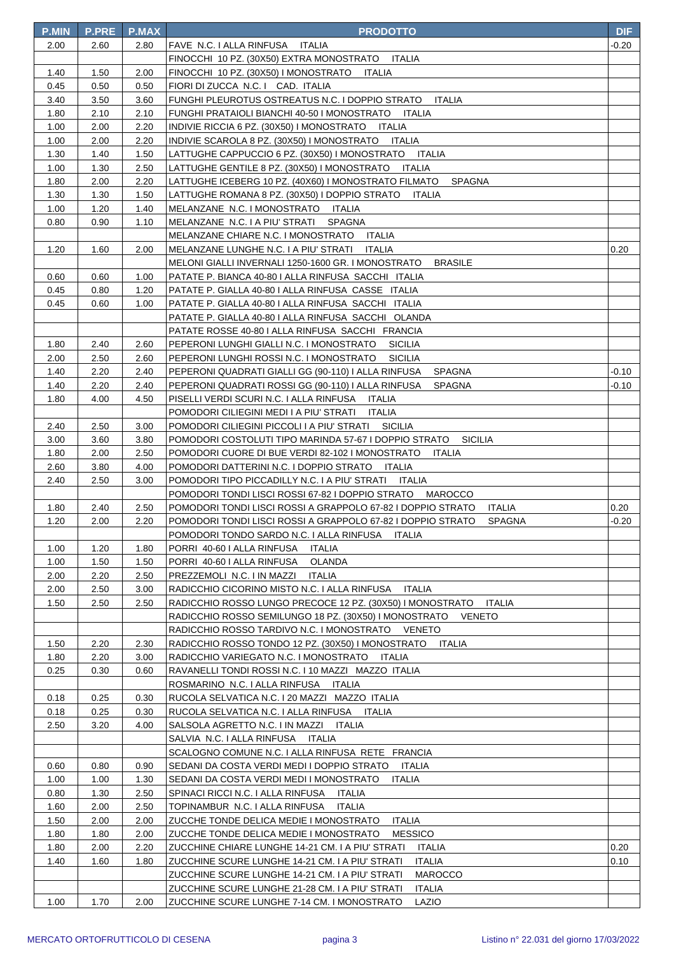| <b>P.MIN</b> | <b>P.PRE</b> | <b>P.MAX</b> | <b>PRODOTTO</b>                                                                                                                 | <b>DIF</b> |
|--------------|--------------|--------------|---------------------------------------------------------------------------------------------------------------------------------|------------|
| 2.00         | 2.60         | 2.80         | FAVE N.C. I ALLA RINFUSA ITALIA                                                                                                 | -0.20      |
|              |              |              | FINOCCHI 10 PZ. (30X50) EXTRA MONOSTRATO ITALIA                                                                                 |            |
| 1.40         | 1.50         | 2.00         | FINOCCHI 10 PZ. (30X50) I MONOSTRATO ITALIA                                                                                     |            |
| 0.45         | 0.50         | 0.50         | FIORI DI ZUCCA N.C. I CAD. ITALIA                                                                                               |            |
| 3.40         | 3.50         | 3.60         | FUNGHI PLEUROTUS OSTREATUS N.C. I DOPPIO STRATO<br><b>ITALIA</b>                                                                |            |
| 1.80         | 2.10         | 2.10         | FUNGHI PRATAIOLI BIANCHI 40-50 I MONOSTRATO ITALIA                                                                              |            |
| 1.00         | 2.00         | 2.20         | INDIVIE RICCIA 6 PZ. (30X50) I MONOSTRATO ITALIA                                                                                |            |
| 1.00         | 2.00         | 2.20         | INDIVIE SCAROLA 8 PZ. (30X50) I MONOSTRATO ITALIA                                                                               |            |
| 1.30         | 1.40         | 1.50         | LATTUGHE CAPPUCCIO 6 PZ. (30X50) I MONOSTRATO ITALIA                                                                            |            |
| 1.00         | 1.30         | 2.50         | LATTUGHE GENTILE 8 PZ. (30X50) I MONOSTRATO<br>ITALIA                                                                           |            |
| 1.80         | 2.00         | 2.20         | LATTUGHE ICEBERG 10 PZ. (40X60) I MONOSTRATO FILMATO<br><b>SPAGNA</b>                                                           |            |
| 1.30         | 1.30         | 1.50         | LATTUGHE ROMANA 8 PZ. (30X50) I DOPPIO STRATO<br>ITALIA                                                                         |            |
| 1.00         | 1.20         | 1.40         | MELANZANE N.C. I MONOSTRATO ITALIA                                                                                              |            |
| 0.80         | 0.90         | 1.10         | MELANZANE N.C. I A PIU' STRATI<br>SPAGNA                                                                                        |            |
|              |              |              | MELANZANE CHIARE N.C. I MONOSTRATO ITALIA                                                                                       |            |
| 1.20         | 1.60         | 2.00         | MELANZANE LUNGHE N.C. I A PIU' STRATI<br>ITALIA                                                                                 | 0.20       |
|              |              |              | MELONI GIALLI INVERNALI 1250-1600 GR. I MONOSTRATO<br><b>BRASILE</b>                                                            |            |
| 0.60         | 0.60         | 1.00         | PATATE P. BIANCA 40-80   ALLA RINFUSA SACCHI ITALIA                                                                             |            |
| 0.45         | 0.80         | 1.20         | PATATE P. GIALLA 40-80   ALLA RINFUSA CASSE ITALIA                                                                              |            |
| 0.45         | 0.60         | 1.00         | PATATE P. GIALLA 40-80 I ALLA RINFUSA SACCHI ITALIA                                                                             |            |
|              |              |              | PATATE P. GIALLA 40-80 I ALLA RINFUSA SACCHI OLANDA                                                                             |            |
|              |              |              | PATATE ROSSE 40-80   ALLA RINFUSA SACCHI FRANCIA                                                                                |            |
| 1.80         | 2.40         | 2.60         | PEPERONI LUNGHI GIALLI N.C. I MONOSTRATO<br><b>SICILIA</b>                                                                      |            |
| 2.00         | 2.50         | 2.60         | PEPERONI LUNGHI ROSSI N.C. I MONOSTRATO<br><b>SICILIA</b>                                                                       |            |
| 1.40         | 2.20         | 2.40         | PEPERONI QUADRATI GIALLI GG (90-110) I ALLA RINFUSA<br>SPAGNA                                                                   | -0.10      |
| 1.40         | 2.20         | 2.40         | PEPERONI QUADRATI ROSSI GG (90-110) I ALLA RINFUSA<br><b>SPAGNA</b>                                                             | $-0.10$    |
| 1.80         | 4.00         | 4.50         | PISELLI VERDI SCURI N.C. I ALLA RINFUSA ITALIA                                                                                  |            |
|              |              |              | POMODORI CILIEGINI MEDI I A PIU' STRATI<br>ITALIA                                                                               |            |
| 2.40         | 2.50         | 3.00         | POMODORI CILIEGINI PICCOLI I A PIU' STRATI<br>SICILIA                                                                           |            |
| 3.00         | 3.60         | 3.80         | POMODORI COSTOLUTI TIPO MARINDA 57-67 I DOPPIO STRATO<br><b>SICILIA</b>                                                         |            |
| 1.80         | 2.00         | 2.50         | POMODORI CUORE DI BUE VERDI 82-102 I MONOSTRATO<br>ITALIA                                                                       |            |
| 2.60         | 3.80         | 4.00         | POMODORI DATTERINI N.C. I DOPPIO STRATO<br>ITALIA                                                                               |            |
| 2.40         | 2.50         | 3.00         | POMODORI TIPO PICCADILLY N.C. I A PIU' STRATI ITALIA                                                                            |            |
|              |              |              | POMODORI TONDI LISCI ROSSI 67-82 I DOPPIO STRATO MAROCCO                                                                        |            |
| 1.80         | 2.40         | 2.50         | POMODORI TONDI LISCI ROSSI A GRAPPOLO 67-82 I DOPPIO STRATO<br><b>ITALIA</b>                                                    | 0.20       |
| 1.20         | 2.00         | 2.20         | POMODORI TONDI LISCI ROSSI A GRAPPOLO 67-82 I DOPPIO STRATO<br><b>SPAGNA</b><br>POMODORI TONDO SARDO N.C. I ALLA RINFUSA ITALIA | $-0.20$    |
| 1.00         | 1.20         | 1.80         | PORRI 40-60   ALLA RINFUSA<br>ITALIA                                                                                            |            |
| 1.00         | 1.50         | 1.50         | PORRI 40-60 I ALLA RINFUSA<br>OLANDA                                                                                            |            |
| 2.00         | 2.20         | 2.50         | PREZZEMOLI N.C. I IN MAZZI<br>ITALIA                                                                                            |            |
| 2.00         | 2.50         | 3.00         | RADICCHIO CICORINO MISTO N.C. I ALLA RINFUSA<br>ITALIA                                                                          |            |
| 1.50         | 2.50         | 2.50         | RADICCHIO ROSSO LUNGO PRECOCE 12 PZ. (30X50) I MONOSTRATO<br><b>ITALIA</b>                                                      |            |
|              |              |              | RADICCHIO ROSSO SEMILUNGO 18 PZ. (30X50) I MONOSTRATO<br>VENETO                                                                 |            |
|              |              |              | RADICCHIO ROSSO TARDIVO N.C. I MONOSTRATO VENETO                                                                                |            |
| 1.50         | 2.20         | 2.30         | RADICCHIO ROSSO TONDO 12 PZ. (30X50) I MONOSTRATO ITALIA                                                                        |            |
| 1.80         | 2.20         | 3.00         | RADICCHIO VARIEGATO N.C. I MONOSTRATO ITALIA                                                                                    |            |
| 0.25         | 0.30         | 0.60         | RAVANELLI TONDI ROSSI N.C. I 10 MAZZI MAZZO ITALIA                                                                              |            |
|              |              |              | ROSMARINO N.C. I ALLA RINFUSA ITALIA                                                                                            |            |
| 0.18         | 0.25         | 0.30         | RUCOLA SELVATICA N.C. I 20 MAZZI MAZZO ITALIA                                                                                   |            |
| 0.18         | 0.25         | 0.30         | RUCOLA SELVATICA N.C. I ALLA RINFUSA<br>ITALIA                                                                                  |            |
| 2.50         | 3.20         | 4.00         | SALSOLA AGRETTO N.C. I IN MAZZI<br>ITALIA                                                                                       |            |
|              |              |              | SALVIA N.C. I ALLA RINFUSA ITALIA                                                                                               |            |
|              |              |              | SCALOGNO COMUNE N.C. I ALLA RINFUSA RETE FRANCIA                                                                                |            |
| 0.60         | 0.80         | 0.90         | SEDANI DA COSTA VERDI MEDI I DOPPIO STRATO<br>ITALIA                                                                            |            |
| 1.00         | 1.00         | 1.30         | SEDANI DA COSTA VERDI MEDI I MONOSTRATO<br>ITALIA                                                                               |            |
| 0.80         | 1.30         | 2.50         | SPINACI RICCI N.C. I ALLA RINFUSA ITALIA                                                                                        |            |
| 1.60         | 2.00         | 2.50         | TOPINAMBUR N.C. I ALLA RINFUSA<br><b>ITALIA</b>                                                                                 |            |
| 1.50         | 2.00         | 2.00         | ZUCCHE TONDE DELICA MEDIE I MONOSTRATO<br><b>ITALIA</b>                                                                         |            |
| 1.80         | 1.80         | 2.00         | ZUCCHE TONDE DELICA MEDIE I MONOSTRATO<br><b>MESSICO</b>                                                                        |            |
| 1.80         | 2.00         | 2.20         | ZUCCHINE CHIARE LUNGHE 14-21 CM. I A PIU' STRATI<br>ITALIA                                                                      | 0.20       |
| 1.40         | 1.60         | 1.80         | ZUCCHINE SCURE LUNGHE 14-21 CM. I A PIU' STRATI<br><b>ITALIA</b>                                                                | 0.10       |
|              |              |              | <b>MAROCCO</b><br>ZUCCHINE SCURE LUNGHE 14-21 CM. I A PIU' STRATI                                                               |            |
|              |              |              | ZUCCHINE SCURE LUNGHE 21-28 CM. I A PIU' STRATI<br><b>ITALIA</b>                                                                |            |
| 1.00         | 1.70         | 2.00         | ZUCCHINE SCURE LUNGHE 7-14 CM. I MONOSTRATO<br>LAZIO                                                                            |            |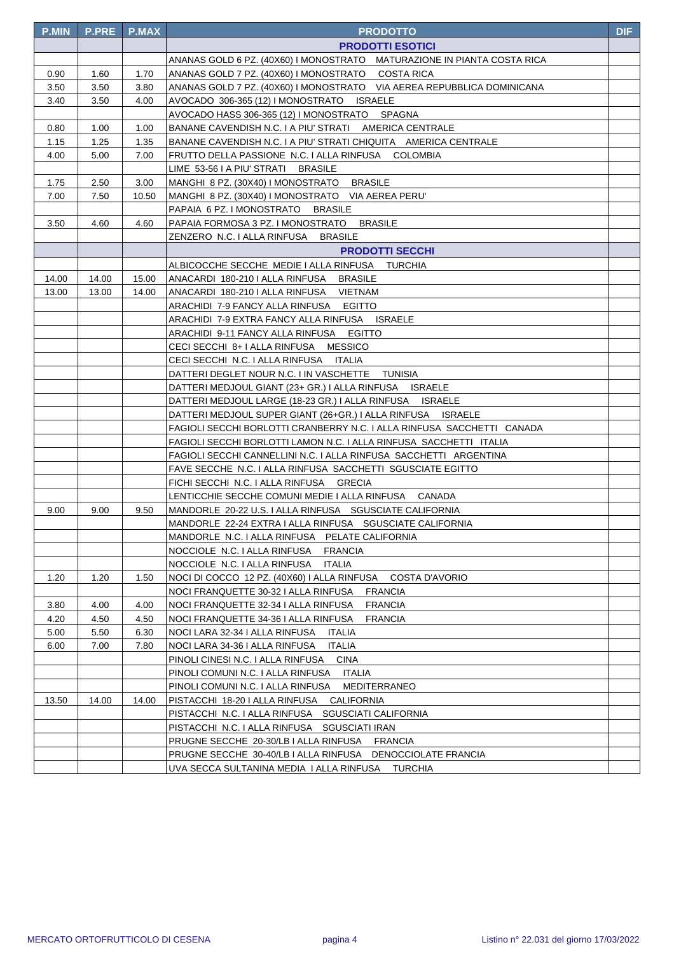| <b>P.MIN</b> | <b>P.PRE</b> | <b>P.MAX</b> | <b>PRODOTTO</b>                                                                                                 | <b>DIF</b> |
|--------------|--------------|--------------|-----------------------------------------------------------------------------------------------------------------|------------|
|              |              |              | <b>PRODOTTI ESOTICI</b>                                                                                         |            |
|              |              |              | ANANAS GOLD 6 PZ. (40X60) I MONOSTRATO MATURAZIONE IN PIANTA COSTA RICA                                         |            |
| 0.90         | 1.60         | 1.70         | ANANAS GOLD 7 PZ. (40X60) I MONOSTRATO COSTA RICA                                                               |            |
| 3.50         | 3.50         | 3.80         | ANANAS GOLD 7 PZ. (40X60) I MONOSTRATO VIA AEREA REPUBBLICA DOMINICANA                                          |            |
| 3.40         | 3.50         | 4.00         | AVOCADO 306-365 (12) I MONOSTRATO ISRAELE                                                                       |            |
|              |              |              | AVOCADO HASS 306-365 (12) I MONOSTRATO SPAGNA                                                                   |            |
| 0.80         | 1.00         | 1.00         | BANANE CAVENDISH N.C. I A PIU' STRATI AMERICA CENTRALE                                                          |            |
| 1.15         | 1.25         | 1.35         | BANANE CAVENDISH N.C. I A PIU' STRATI CHIQUITA AMERICA CENTRALE                                                 |            |
| 4.00         | 5.00         | 7.00         | FRUTTO DELLA PASSIONE N.C. I ALLA RINFUSA COLOMBIA                                                              |            |
|              |              |              | LIME 53-56 I A PIU' STRATI BRASILE                                                                              |            |
| 1.75         | 2.50         | 3.00         | MANGHI 8 PZ. (30X40) I MONOSTRATO BRASILE                                                                       |            |
| 7.00         | 7.50         | 10.50        | MANGHI 8 PZ. (30X40) I MONOSTRATO VIA AEREA PERU'                                                               |            |
|              |              |              | PAPAIA 6 PZ. I MONOSTRATO BRASILE                                                                               |            |
| 3.50         | 4.60         | 4.60         | PAPAIA FORMOSA 3 PZ. I MONOSTRATO BRASILE                                                                       |            |
|              |              |              | ZENZERO N.C. I ALLA RINFUSA BRASILE                                                                             |            |
|              |              |              | <b>PRODOTTI SECCHI</b>                                                                                          |            |
|              |              |              | ALBICOCCHE SECCHE MEDIE I ALLA RINFUSA TURCHIA                                                                  |            |
| 14.00        | 14.00        | 15.00        | ANACARDI 180-210   ALLA RINFUSA BRASILE                                                                         |            |
| 13.00        | 13.00        | 14.00        | ANACARDI 180-210 I ALLA RINFUSA VIETNAM                                                                         |            |
|              |              |              | ARACHIDI 7-9 FANCY ALLA RINFUSA EGITTO                                                                          |            |
|              |              |              | ARACHIDI 7-9 EXTRA FANCY ALLA RINFUSA     ISRAELE                                                               |            |
|              |              |              | ARACHIDI 9-11 FANCY ALLA RINFUSA  EGITTO                                                                        |            |
|              |              |              | CECI SECCHI 8+ I ALLA RINFUSA MESSICO                                                                           |            |
|              |              |              | CECI SECCHI N.C. I ALLA RINFUSA ITALIA                                                                          |            |
|              |              |              | DATTERI DEGLET NOUR N.C. I IN VASCHETTE TUNISIA                                                                 |            |
|              |              |              | DATTERI MEDJOUL GIANT (23+ GR.) I ALLA RINFUSA     ISRAELE                                                      |            |
|              |              |              | DATTERI MEDJOUL LARGE (18-23 GR.) I ALLA RINFUSA     ISRAELE                                                    |            |
|              |              |              | DATTERI MEDJOUL SUPER GIANT (26+GR.) I ALLA RINFUSA     ISRAELE                                                 |            |
|              |              |              | FAGIOLI SECCHI BORLOTTI CRANBERRY N.C. I ALLA RINFUSA  SACCHETTI   CANADA                                       |            |
|              |              |              | FAGIOLI SECCHI BORLOTTI LAMON N.C. I ALLA RINFUSA  SACCHETTI   ITALIA                                           |            |
|              |              |              | FAGIOLI SECCHI CANNELLINI N.C. I ALLA RINFUSA  SACCHETTI   ARGENTINA                                            |            |
|              |              |              | FAVE SECCHE_N.C. I ALLA RINFUSA_SACCHETTI_SGUSCIATE EGITTO                                                      |            |
|              |              |              | FICHI SECCHI N.C. I ALLA RINFUSA GRECIA                                                                         |            |
| 9.00         | 9.00         | 9.50         | LENTICCHIE SECCHE COMUNI MEDIE I ALLA RINFUSA CANADA<br>MANDORLE 20-22 U.S. I ALLA RINFUSA SGUSCIATE CALIFORNIA |            |
|              |              |              | MANDORLE 22-24 EXTRA I ALLA RINFUSA SGUSCIATE CALIFORNIA                                                        |            |
|              |              |              | MANDORLE N.C. I ALLA RINFUSA PELATE CALIFORNIA                                                                  |            |
|              |              |              | NOCCIOLE N.C. I ALLA RINFUSA<br><b>FRANCIA</b>                                                                  |            |
|              |              |              | NOCCIOLE N.C. I ALLA RINFUSA<br><b>ITALIA</b>                                                                   |            |
| 1.20         | 1.20         | 1.50         | NOCI DI COCCO 12 PZ. (40X60) I ALLA RINFUSA<br>COSTA D'AVORIO                                                   |            |
|              |              |              | NOCI FRANQUETTE 30-32 I ALLA RINFUSA<br><b>FRANCIA</b>                                                          |            |
| 3.80         | 4.00         | 4.00         | NOCI FRANQUETTE 32-34 I ALLA RINFUSA<br><b>FRANCIA</b>                                                          |            |
| 4.20         | 4.50         | 4.50         | NOCI FRANQUETTE 34-36 I ALLA RINFUSA<br><b>FRANCIA</b>                                                          |            |
| 5.00         | 5.50         | 6.30         | NOCI LARA 32-34 I ALLA RINFUSA<br><b>ITALIA</b>                                                                 |            |
| 6.00         | 7.00         | 7.80         | NOCI LARA 34-36 I ALLA RINFUSA<br><b>ITALIA</b>                                                                 |            |
|              |              |              | PINOLI CINESI N.C. I ALLA RINFUSA<br><b>CINA</b>                                                                |            |
|              |              |              | PINOLI COMUNI N.C. I ALLA RINFUSA<br>ITALIA                                                                     |            |
|              |              |              | PINOLI COMUNI N.C. I ALLA RINFUSA<br><b>MEDITERRANEO</b>                                                        |            |
| 13.50        | 14.00        | 14.00        | PISTACCHI 18-20 I ALLA RINFUSA<br>CALIFORNIA                                                                    |            |
|              |              |              | PISTACCHI N.C. I ALLA RINFUSA SGUSCIATI CALIFORNIA                                                              |            |
|              |              |              | PISTACCHI N.C. I ALLA RINFUSA    SGUSCIATI IRAN                                                                 |            |
|              |              |              | PRUGNE SECCHE 20-30/LB I ALLA RINFUSA FRANCIA                                                                   |            |
|              |              |              | PRUGNE SECCHE  30-40/LB I ALLA RINFUSA    DENOCCIOLATE FRANCIA                                                  |            |
|              |              |              | UVA SECCA SULTANINA MEDIA I ALLA RINFUSA     TURCHIA                                                            |            |